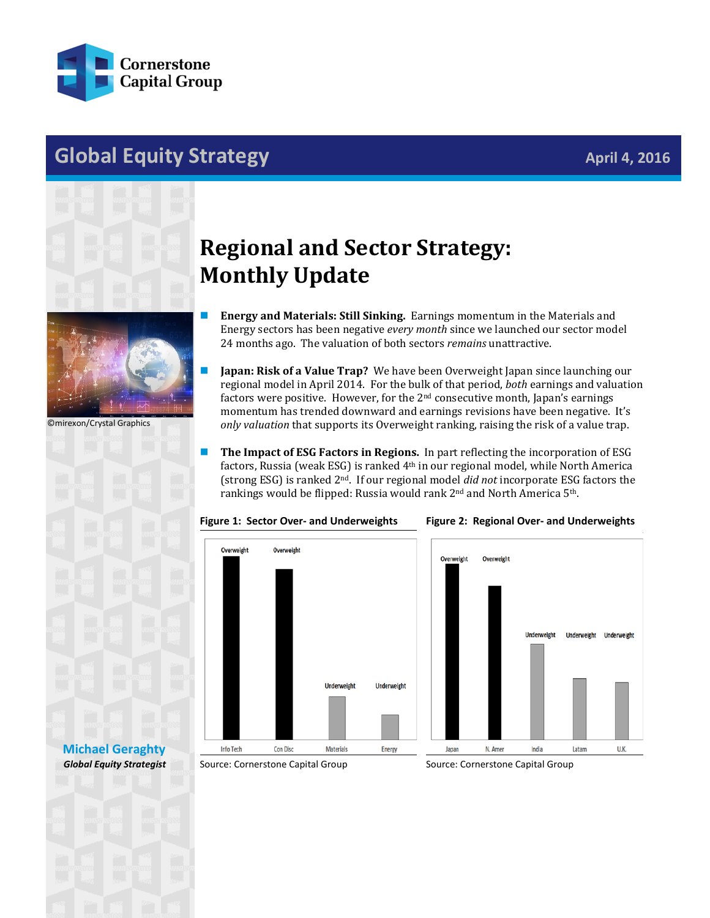

## **Global Equity Strategy April 4, 2016**



©mirexon/Crystal Graphics

## **Regional and Sector Strategy: Monthly Update**

- **Energy and Materials: Still Sinking.** Earnings momentum in the Materials and Energy sectors has been negative *every month* since we launched our sector model 24 months ago. The valuation of both sectors *remains* unattractive.
- **Japan: Risk of a Value Trap?** We have been Overweight Japan since launching our regional model in April 2014. For the bulk of that period, *both* earnings and valuation factors were positive. However, for the 2<sup>nd</sup> consecutive month, Japan's earnings momentum has trended downward and earnings revisions have been negative. It's *only valuation* that supports its Overweight ranking, raising the risk of a value trap.
- The Impact of ESG Factors in Regions. In part reflecting the incorporation of ESG factors, Russia (weak ESG) is ranked 4th in our regional model, while North America (strong ESG) is ranked 2nd. If our regional model *did not* incorporate ESG factors the rankings would be flipped: Russia would rank 2nd and North America 5th.







## **[Michael Geraghty](mailto:michael.geraghty@cornerstonecapinc.com)** *Global Equity Strategist*